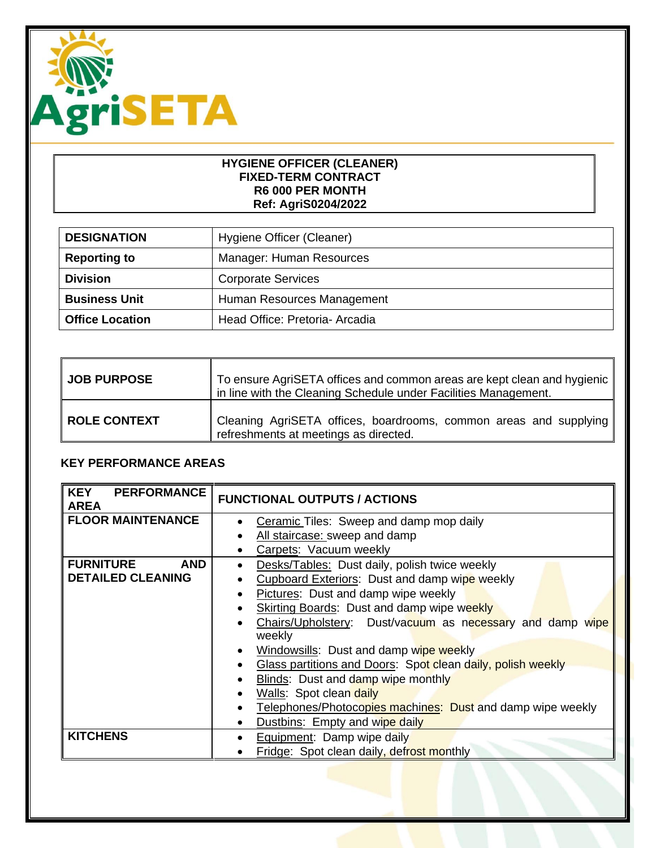

#### **HYGIENE OFFICER (CLEANER) FIXED-TERM CONTRACT R6 000 PER MONTH Ref: AgriS0204/2022**

| <b>DESIGNATION</b>     | Hygiene Officer (Cleaner)      |
|------------------------|--------------------------------|
| <b>Reporting to</b>    | Manager: Human Resources       |
| <b>Division</b>        | <b>Corporate Services</b>      |
| <b>Business Unit</b>   | Human Resources Management     |
| <b>Office Location</b> | Head Office: Pretoria- Arcadia |

| <b>JOB PURPOSE</b>  | To ensure AgriSETA offices and common areas are kept clean and hygienic<br>in line with the Cleaning Schedule under Facilities Management. |
|---------------------|--------------------------------------------------------------------------------------------------------------------------------------------|
| <b>ROLE CONTEXT</b> | Cleaning AgriSETA offices, boardrooms, common areas and supplying<br>refreshments at meetings as directed.                                 |

# **KEY PERFORMANCE AREAS**

| <b>KEY PERFORMANCE</b><br><b>AREA</b> | <b>FUNCTIONAL OUTPUTS / ACTIONS</b>                                    |
|---------------------------------------|------------------------------------------------------------------------|
| <b>FLOOR MAINTENANCE</b>              | Ceramic Tiles: Sweep and damp mop daily<br>$\bullet$                   |
|                                       | All staircase: sweep and damp                                          |
|                                       | Carpets: Vacuum weekly                                                 |
| <b>FURNITURE</b><br><b>AND</b>        | Desks/Tables: Dust daily, polish twice weekly<br>$\bullet$             |
| <b>DETAILED CLEANING</b>              | Cupboard Exteriors: Dust and damp wipe weekly                          |
|                                       | Pictures: Dust and damp wipe weekly                                    |
|                                       | <b>Skirting Boards:</b> Dust and damp wipe weekly                      |
|                                       | Chairs/Upholstery: Dust/vacuum as necessary and damp wipe<br>$\bullet$ |
|                                       | weekly                                                                 |
|                                       | Windowsills: Dust and damp wipe weekly<br>$\bullet$                    |
|                                       | Glass partitions and Doors: Spot clean daily, polish weekly            |
|                                       | Blinds: Dust and damp wipe monthly                                     |
|                                       | Walls: Spot clean daily<br>$\bullet$                                   |
|                                       | Telephones/Photocopies machines: Dust and damp wipe weekly             |
|                                       | Dustbins: Empty and wipe daily<br>٠                                    |
| <b>KITCHENS</b>                       | Equipment: Damp wipe daily<br>$\bullet$                                |
|                                       | Fridge: Spot clean daily, defrost monthly                              |